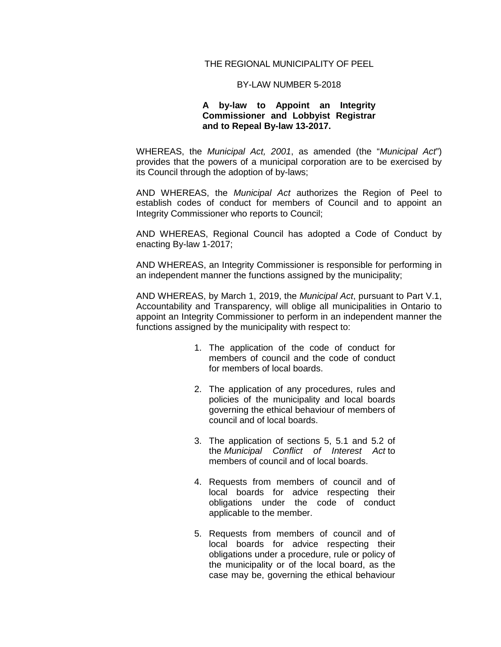## THE REGIONAL MUNICIPALITY OF PEEL

## BY-LAW NUMBER 5-2018

## **A by-law to Appoint an Integrity Commissioner and Lobbyist Registrar and to Repeal By-law 13-2017.**

WHEREAS, the Municipal Act, 2001, as amended (the "Municipal Act") provides that the powers of a municipal corporation are to be exercised by its Council through the adoption of by-laws;

AND WHEREAS, the Municipal Act authorizes the Region of Peel to establish codes of conduct for members of Council and to appoint an Integrity Commissioner who reports to Council;

AND WHEREAS, Regional Council has adopted a Code of Conduct by enacting By-law 1-2017;

AND WHEREAS, an Integrity Commissioner is responsible for performing in an independent manner the functions assigned by the municipality;

AND WHEREAS, by March 1, 2019, the Municipal Act, pursuant to Part V.1, Accountability and Transparency, will oblige all municipalities in Ontario to appoint an Integrity Commissioner to perform in an independent manner the functions assigned by the municipality with respect to:

- 1. The application of the code of conduct for members of council and the code of conduct for members of local boards.
- 2. The application of any procedures, rules and policies of the municipality and local boards governing the ethical behaviour of members of council and of local boards.
- 3. The application of sections 5, 5.1 and 5.2 of the Municipal Conflict of Interest Act to members of council and of local boards.
- 4. Requests from members of council and of local boards for advice respecting their obligations under the code of conduct applicable to the member.
- 5. Requests from members of council and of local boards for advice respecting their obligations under a procedure, rule or policy of the municipality or of the local board, as the case may be, governing the ethical behaviour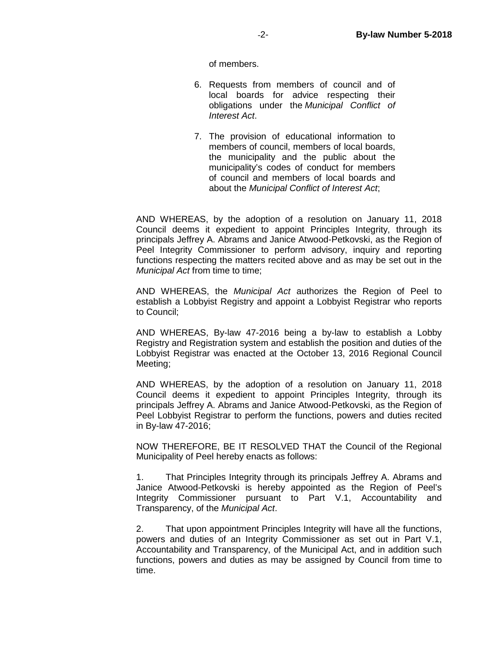of members.

- 6. Requests from members of council and of local boards for advice respecting their obligations under the Municipal Conflict of Interest Act.
- 7. The provision of educational information to members of council, members of local boards, the municipality and the public about the municipality's codes of conduct for members of council and members of local boards and about the Municipal Conflict of Interest Act;

AND WHEREAS, by the adoption of a resolution on January 11, 2018 Council deems it expedient to appoint Principles Integrity, through its principals Jeffrey A. Abrams and Janice Atwood-Petkovski, as the Region of Peel Integrity Commissioner to perform advisory, inquiry and reporting functions respecting the matters recited above and as may be set out in the Municipal Act from time to time;

AND WHEREAS, the Municipal Act authorizes the Region of Peel to establish a Lobbyist Registry and appoint a Lobbyist Registrar who reports to Council;

AND WHEREAS, By-law 47-2016 being a by-law to establish a Lobby Registry and Registration system and establish the position and duties of the Lobbyist Registrar was enacted at the October 13, 2016 Regional Council Meeting;

AND WHEREAS, by the adoption of a resolution on January 11, 2018 Council deems it expedient to appoint Principles Integrity, through its principals Jeffrey A. Abrams and Janice Atwood-Petkovski, as the Region of Peel Lobbyist Registrar to perform the functions, powers and duties recited in By-law 47-2016;

NOW THEREFORE, BE IT RESOLVED THAT the Council of the Regional Municipality of Peel hereby enacts as follows:

1. That Principles Integrity through its principals Jeffrey A. Abrams and Janice Atwood-Petkovski is hereby appointed as the Region of Peel's Integrity Commissioner pursuant to Part V.1, Accountability and Transparency, of the Municipal Act.

2. That upon appointment Principles Integrity will have all the functions, powers and duties of an Integrity Commissioner as set out in Part V.1, Accountability and Transparency, of the Municipal Act, and in addition such functions, powers and duties as may be assigned by Council from time to time.